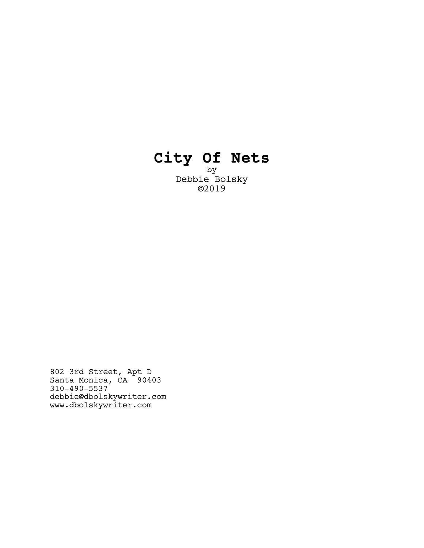# **City Of Nets**

by Debbie Bolsky ©2019

802 3rd Street, Apt D Santa Monica, CA 90403 310-490-5537 debbie@dbolskywriter.com www.dbolskywriter.com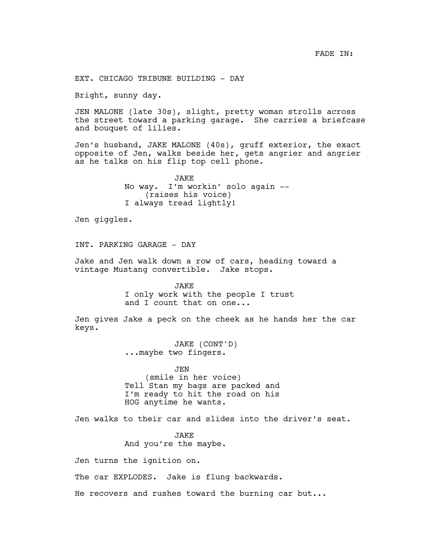FADE IN:

EXT. CHICAGO TRIBUNE BUILDING - DAY

Bright, sunny day.

JEN MALONE (late 30s), slight, pretty woman strolls across the street toward a parking garage. She carries a briefcase and bouquet of lilies.

Jen's husband, JAKE MALONE (40s), gruff exterior, the exact opposite of Jen, walks beside her, gets angrier and angrier as he talks on his flip top cell phone.

> **JAKE** No way. I'm workin' solo again -- (raises his voice) I always tread lightly!

Jen giggles.

INT. PARKING GARAGE - DAY

Jake and Jen walk down a row of cars, heading toward a vintage Mustang convertible. Jake stops.

> JAKE I only work with the people I trust and I count that on one...

Jen gives Jake a peck on the cheek as he hands her the car keys.

> JAKE (CONT'D) ...maybe two fingers.

JEN (smile in her voice) Tell Stan my bags are packed and I'm ready to hit the road on his HOG anytime he wants.

Jen walks to their car and slides into the driver's seat.

JAKE And you're the maybe.

Jen turns the ignition on.

The car EXPLODES. Jake is flung backwards.

He recovers and rushes toward the burning car but...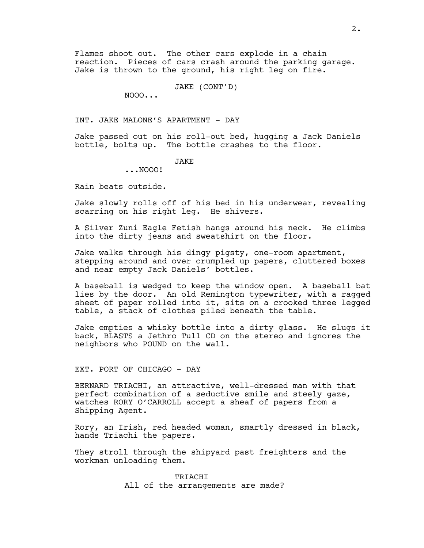Flames shoot out. The other cars explode in a chain reaction. Pieces of cars crash around the parking garage. Jake is thrown to the ground, his right leg on fire.

JAKE (CONT'D)

NOOO...

INT. JAKE MALONE'S APARTMENT - DAY

Jake passed out on his roll-out bed, hugging a Jack Daniels bottle, bolts up. The bottle crashes to the floor.

## **JAKE**

...NOOO!

Rain beats outside.

Jake slowly rolls off of his bed in his underwear, revealing scarring on his right leg. He shivers.

A Silver Zuni Eagle Fetish hangs around his neck. He climbs into the dirty jeans and sweatshirt on the floor.

Jake walks through his dingy pigsty, one-room apartment, stepping around and over crumpled up papers, cluttered boxes and near empty Jack Daniels' bottles.

A baseball is wedged to keep the window open. A baseball bat lies by the door. An old Remington typewriter, with a ragged sheet of paper rolled into it, sits on a crooked three legged table, a stack of clothes piled beneath the table.

Jake empties a whisky bottle into a dirty glass. He slugs it back, BLASTS a Jethro Tull CD on the stereo and ignores the neighbors who POUND on the wall.

### EXT. PORT OF CHICAGO - DAY

BERNARD TRIACHI, an attractive, well-dressed man with that perfect combination of a seductive smile and steely gaze, watches RORY O'CARROLL accept a sheaf of papers from a Shipping Agent.

Rory, an Irish, red headed woman, smartly dressed in black, hands Triachi the papers.

They stroll through the shipyard past freighters and the workman unloading them.

> TRIACHI All of the arrangements are made?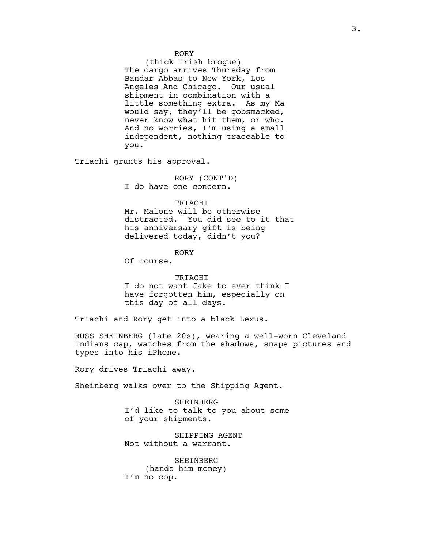RORY

(thick Irish brogue) The cargo arrives Thursday from Bandar Abbas to New York, Los Angeles And Chicago. Our usual shipment in combination with a little something extra. As my Ma would say, they'll be gobsmacked, never know what hit them, or who. And no worries, I'm using a small independent, nothing traceable to you.

Triachi grunts his approval.

RORY (CONT'D) I do have one concern.

#### TRIACHI

Mr. Malone will be otherwise distracted. You did see to it that his anniversary gift is being delivered today, didn't you?

RORY

Of course.

#### TRIACHI

I do not want Jake to ever think I have forgotten him, especially on this day of all days.

Triachi and Rory get into a black Lexus.

RUSS SHEINBERG (late 20s), wearing a well-worn Cleveland Indians cap, watches from the shadows, snaps pictures and types into his iPhone.

Rory drives Triachi away.

Sheinberg walks over to the Shipping Agent.

SHEINBERG I'd like to talk to you about some of your shipments.

SHIPPING AGENT Not without a warrant.

SHEINBERG (hands him money) I'm no cop.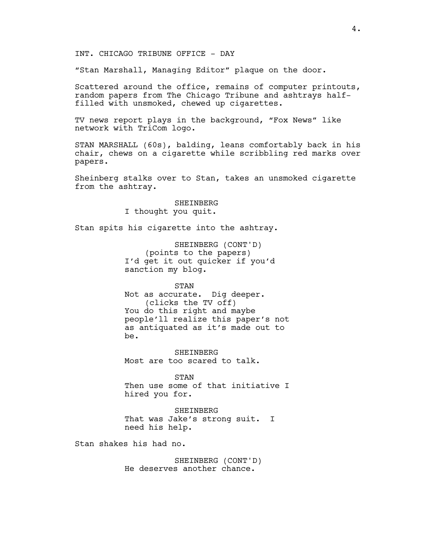INT. CHICAGO TRIBUNE OFFICE - DAY

"Stan Marshall, Managing Editor" plaque on the door.

Scattered around the office, remains of computer printouts, random papers from The Chicago Tribune and ashtrays halffilled with unsmoked, chewed up cigarettes.

TV news report plays in the background, "Fox News" like network with TriCom logo.

STAN MARSHALL (60s), balding, leans comfortably back in his chair, chews on a cigarette while scribbling red marks over papers.

Sheinberg stalks over to Stan, takes an unsmoked cigarette from the ashtray.

> SHEINBERG I thought you quit.

Stan spits his cigarette into the ashtray.

SHEINBERG (CONT'D) (points to the papers) I'd get it out quicker if you'd sanction my blog.

STAN

Not as accurate. Dig deeper. (clicks the TV off) You do this right and maybe people'll realize this paper's not as antiquated as it's made out to be.

SHEINBERG Most are too scared to talk.

STAN Then use some of that initiative I hired you for.

SHEINBERG That was Jake's strong suit. I need his help.

Stan shakes his had no.

SHEINBERG (CONT'D) He deserves another chance.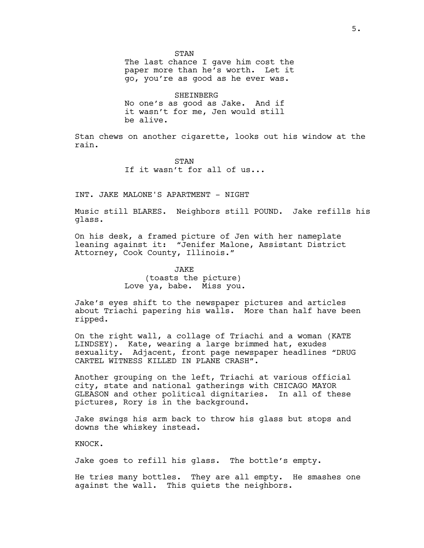STAN The last chance I gave him cost the paper more than he's worth. Let it go, you're as good as he ever was.

SHEINBERG No one's as good as Jake. And if it wasn't for me, Jen would still be alive.

Stan chews on another cigarette, looks out his window at the rain.

> STAN If it wasn't for all of us...

INT. JAKE MALONE'S APARTMENT - NIGHT

Music still BLARES. Neighbors still POUND. Jake refills his glass.

On his desk, a framed picture of Jen with her nameplate leaning against it: "Jenifer Malone, Assistant District Attorney, Cook County, Illinois."

> JAKE (toasts the picture) Love ya, babe. Miss you.

Jake's eyes shift to the newspaper pictures and articles about Triachi papering his walls. More than half have been ripped.

On the right wall, a collage of Triachi and a woman (KATE LINDSEY). Kate, wearing a large brimmed hat, exudes sexuality. Adjacent, front page newspaper headlines "DRUG CARTEL WITNESS KILLED IN PLANE CRASH".

Another grouping on the left, Triachi at various official city, state and national gatherings with CHICAGO MAYOR GLEASON and other political dignitaries. In all of these pictures, Rory is in the background.

Jake swings his arm back to throw his glass but stops and downs the whiskey instead.

KNOCK.

Jake goes to refill his glass. The bottle's empty.

He tries many bottles. They are all empty. He smashes one against the wall. This quiets the neighbors.